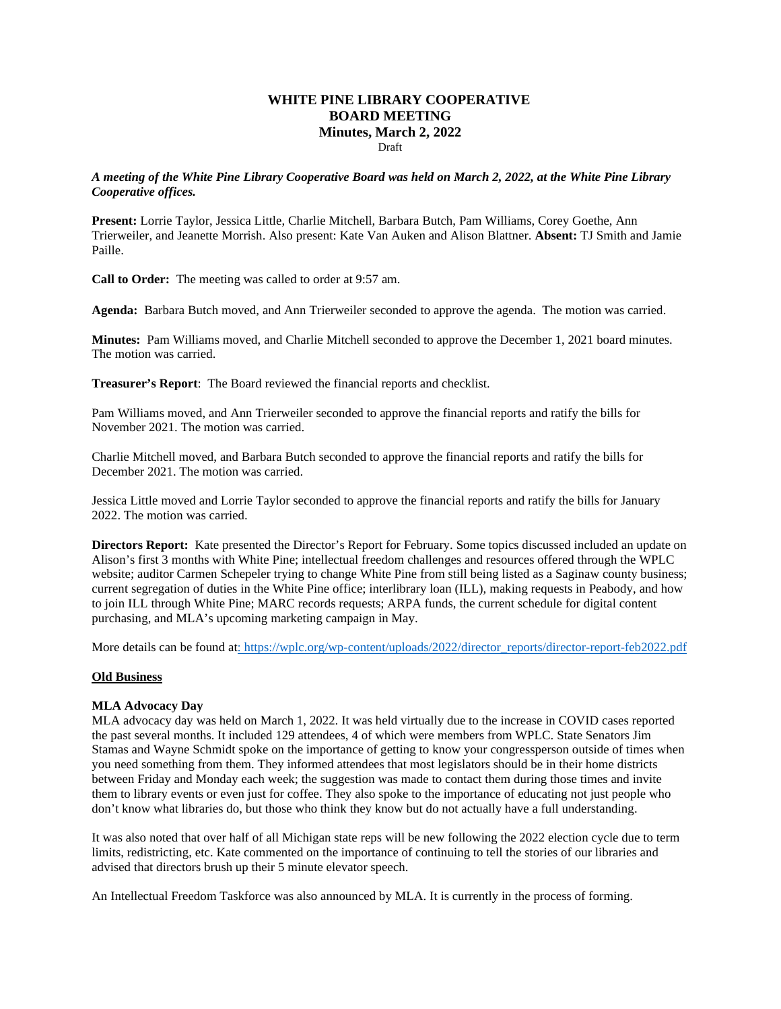# **WHITE PINE LIBRARY COOPERATIVE BOARD MEETING Minutes, March 2, 2022**

Draft

#### *A meeting of the White Pine Library Cooperative Board was held on March 2, 2022, at the White Pine Library Cooperative offices.*

**Present:** Lorrie Taylor, Jessica Little, Charlie Mitchell, Barbara Butch, Pam Williams, Corey Goethe, Ann Trierweiler, and Jeanette Morrish. Also present: Kate Van Auken and Alison Blattner. **Absent:** TJ Smith and Jamie Paille.

**Call to Order:** The meeting was called to order at 9:57 am.

**Agenda:** Barbara Butch moved, and Ann Trierweiler seconded to approve the agenda. The motion was carried.

**Minutes:** Pam Williams moved, and Charlie Mitchell seconded to approve the December 1, 2021 board minutes. The motion was carried.

**Treasurer's Report**: The Board reviewed the financial reports and checklist.

Pam Williams moved, and Ann Trierweiler seconded to approve the financial reports and ratify the bills for November 2021. The motion was carried.

Charlie Mitchell moved, and Barbara Butch seconded to approve the financial reports and ratify the bills for December 2021. The motion was carried.

Jessica Little moved and Lorrie Taylor seconded to approve the financial reports and ratify the bills for January 2022. The motion was carried.

**Directors Report:** Kate presented the Director's Report for February. Some topics discussed included an update on Alison's first 3 months with White Pine; intellectual freedom challenges and resources offered through the WPLC website; auditor Carmen Schepeler trying to change White Pine from still being listed as a Saginaw county business; current segregation of duties in the White Pine office; interlibrary loan (ILL), making requests in Peabody, and how to join ILL through White Pine; MARC records requests; ARPA funds, the current schedule for digital content purchasing, and MLA's upcoming marketing campaign in May.

More details can be found a[t: https://wplc.org/wp-content/uploads/2022/director\\_reports/director-report-feb2022.pdf](https://wplc.org/wp-content/uploads/2022/director_reports/director-report-feb2022.pdf)

## **Old Business**

## **MLA Advocacy Day**

MLA advocacy day was held on March 1, 2022. It was held virtually due to the increase in COVID cases reported the past several months. It included 129 attendees, 4 of which were members from WPLC. State Senators Jim Stamas and Wayne Schmidt spoke on the importance of getting to know your congressperson outside of times when you need something from them. They informed attendees that most legislators should be in their home districts between Friday and Monday each week; the suggestion was made to contact them during those times and invite them to library events or even just for coffee. They also spoke to the importance of educating not just people who don't know what libraries do, but those who think they know but do not actually have a full understanding.

It was also noted that over half of all Michigan state reps will be new following the 2022 election cycle due to term limits, redistricting, etc. Kate commented on the importance of continuing to tell the stories of our libraries and advised that directors brush up their 5 minute elevator speech.

An Intellectual Freedom Taskforce was also announced by MLA. It is currently in the process of forming.